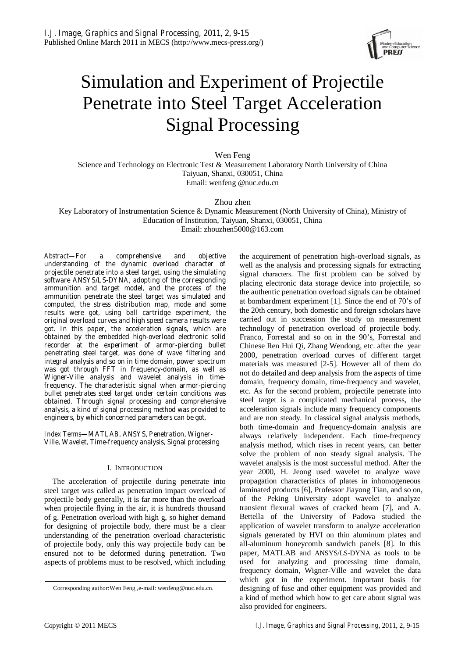

# Simulation and Experiment of Projectile Penetrate into Steel Target Acceleration Signal Processing

Wen Feng Science and Technology on Electronic Test & Measurement Laboratory North University of China Taiyuan, Shanxi, 030051, China Email: wenfeng @nuc.edu.cn

Zhou zhen

Key Laboratory of Instrumentation Science & Dynamic Measurement (North University of China), Ministry of Education of Institution, Taiyuan, Shanxi, 030051, China Email: zhouzhen5000@163.com

*Abstract***—For a comprehensive and objective understanding of the dynamic overload character of projectile penetrate into a steel target, using the simulating software ANSYS/LS-DYNA, adopting of the corresponding ammunition and target model, and the process of the ammunition penetrate the steel target was simulated and computed, the stress distribution map, mode and some results were got, using ball cartridge experiment, the original overload curves and high speed camera results were got. In this paper, the acceleration signals, which are obtained by the embedded high-overload electronic solid**  recorder at the experiment of armor-piercing bullet **penetrating steel target, was done of wave filtering and integral analysis and so on in time domain, power spectrum was got through FFT in frequency-domain, as well as Wigner-Ville analysis and wavelet analysis in timefrequency. The characteristic signal when armor-piercing bullet penetrates steel target under certain conditions was obtained. Through signal processing and comprehensive analysis, a kind of signal processing method was provided to engineers, by which concerned parameters can be got.** 

*Index Terms***—MATLAB, ANSYS, Penetration, Wigner-Ville, Wavelet, Time-frequency analysis, Signal processing** 

# I. INTRODUCTION

The acceleration of projectile during penetrate into steel target was called as penetration impact overload of projectile body generally, it is far more than the overload when projectile flying in the air, it is hundreds thousand of g. Penetration overload with high g, so higher demand for designing of projectile body, there must be a clear understanding of the penetration overload characteristic of projectile body, only this way projectile body can be ensured not to be deformed during penetration. Two aspects of problems must to be resolved, which including

the acquirement of penetration high-overload signals, as well as the analysis and processing signals for extracting signal characters. The first problem can be solved by placing electronic data storage device into projectile, so the authentic penetration overload signals can be obtained at bombardment experiment [1]. Since the end of 70's of the 20th century, both domestic and foreign scholars have carried out in succession the study on measurement technology of penetration overload of projectile body. Franco, Forrestal and so on in the 90's, Forrestal and Chinese Ren Hui Qi, Zhang Wendong, etc. after the year 2000, penetration overload curves of different target materials was measured [2-5]. However all of them do not do detailed and deep analysis from the aspects of time domain, frequency domain, time-frequency and wavelet, etc. As for the second problem, projectile penetrate into steel target is a complicated mechanical process, the acceleration signals include many frequency components and are non steady. In classical signal analysis methods, both time-domain and frequency-domain analysis are always relatively independent. Each time-frequency analysis method, which rises in recent years, can better solve the problem of non steady signal analysis. The wavelet analysis is the most successful method. After the year 2000, H. Jeong used wavelet to analyze wave propagation characteristics of plates in inhomogeneous laminated products [6], Professor Jiayong Tian, and so on, of the Peking University adopt wavelet to analyze transient flexural waves of cracked beam [7], and A. Bettella of the University of Padova studied the application of wavelet transform to analyze acceleration signals generated by HVI on thin aluminum plates and all-aluminum honeycomb sandwich panels [8]. In this paper, MATLAB and ANSYS/LS-DYNA as tools to be used for analyzing and processing time domain, frequency domain, Wigner-Ville and wavelet the data which got in the experiment. Important basis for designing of fuse and other equipment was provided and a kind of method which how to get care about signal was also provided for engineers.

Corresponding author:Wen Feng ,e-mail: wenfeng@nuc.edu.cn.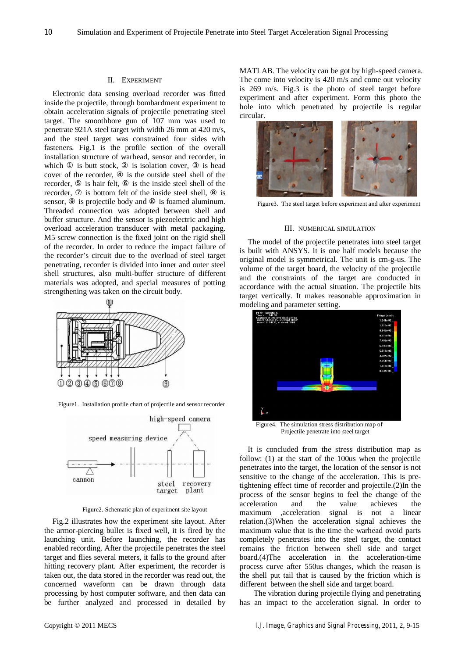## II. EXPERIMENT

Electronic data sensing overload recorder was fitted inside the projectile, through bombardment experiment to obtain acceleration signals of projectile penetrating steel target. The smoothbore gun of 107 mm was used to penetrate 921A steel target with width 26 mm at 420 m/s, and the steel target was constrained four sides with fasteners. Fig.1 is the profile section of the overall installation structure of warhead, sensor and recorder, in which is butt stock, is isolation cover, is head cover of the recorder, is the outside steel shell of the recorder, is hair felt, is the inside steel shell of the recorder, is bottom felt of the inside steel shell, is sensor, is projectile body and is foamed aluminum. Threaded connection was adopted between shell and buffer structure. And the sensor is piezoelectric and high overload acceleration transducer with metal packaging. M5 screw connection is the fixed joint on the rigid shell of the recorder. In order to reduce the impact failure of the recorder's circuit due to the overload of steel target penetrating, recorder is divided into inner and outer steel shell structures, also multi-buffer structure of different materials was adopted, and special measures of potting strengthening was taken on the circuit body.



Figure1. Installation profile chart of projectile and sensor recorder



Figure2. Schematic plan of experiment site layout

Fig.2 illustrates how the experiment site layout. After the armor-piercing bullet is fixed well, it is fired by the launching unit. Before launching, the recorder has enabled recording. After the projectile penetrates the steel target and flies several meters, it falls to the ground after hitting recovery plant. After experiment, the recorder is taken out, the data stored in the recorder was read out, the concerned waveform can be drawn through data processing by host computer software, and then data can be further analyzed and processed in detailed by MATLAB. The velocity can be got by high-speed camera. The come into velocity is 420 m/s and come out velocity is 269 m/s. Fig.3 is the photo of steel target before experiment and after experiment. Form this photo the hole into which penetrated by projectile is regular circular.



Figure3. The steel target before experiment and after experiment

## III. NUMERICAL SIMULATION

The model of the projectile penetrates into steel target is built with ANSYS. It is one half models because the original model is symmetrical. The unit is cm-g-us. The volume of the target board, the velocity of the projectile and the constraints of the target are conducted in accordance with the actual situation. The projectile hits target vertically. It makes reasonable approximation in modeling and parameter setting.



 Figure4. The simulation stress distribution map of Projectile penetrate into steel target

It is concluded from the stress distribution map as follow: (1) at the start of the 100us when the projectile penetrates into the target, the location of the sensor is not sensitive to the change of the acceleration. This is pretightening effect time of recorder and projectile.(2)In the process of the sensor begins to feel the change of the acceleration and the value achieves the maximum ,acceleration signal is not a linear relation.(3)When the acceleration signal achieves the maximum value that is the time the warhead ovoid parts completely penetrates into the steel target, the contact remains the friction between shell side and target board.(4)The acceleration in the acceleration-time process curve after 550us changes, which the reason is the shell put tail that is caused by the friction which is different between the shell side and target board.

 The vibration during projectile flying and penetrating has an impact to the acceleration signal. In order to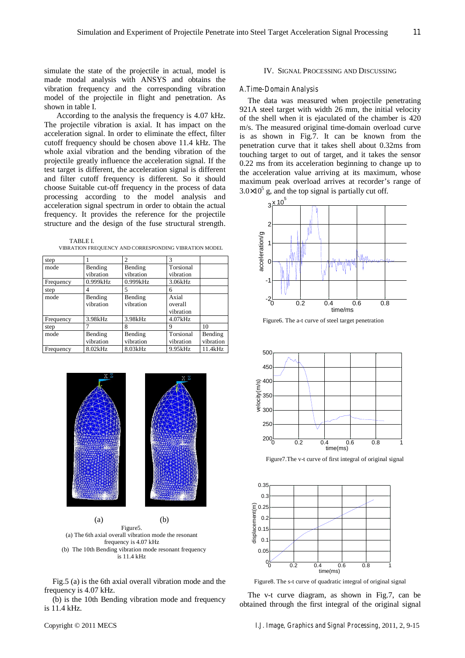simulate the state of the projectile in actual, model is made modal analysis with ANSYS and obtains the vibration frequency and the corresponding vibration model of the projectile in flight and penetration. As shown in table I.

 According to the analysis the frequency is 4.07 kHz. The projectile vibration is axial. It has impact on the acceleration signal. In order to eliminate the effect, filter cutoff frequency should be chosen above 11.4 kHz. The whole axial vibration and the bending vibration of the projectile greatly influence the acceleration signal. If the test target is different, the acceleration signal is different and filter cutoff frequency is different. So it should choose Suitable cut-off frequency in the process of data processing according to the model analysis and acceleration signal spectrum in order to obtain the actual frequency. It provides the reference for the projectile structure and the design of the fuse structural strength.

TABLE I. VIBRATION FREQUENCY AND CORRESPONDING VIBRATION MODEL

| step      |                      | $\overline{c}$       | 3                             |                      |
|-----------|----------------------|----------------------|-------------------------------|----------------------|
| mode      | Bending<br>vibration | Bending<br>vibration | Torsional<br>vibration        |                      |
| Frequency | 0.999kHz             | 0.999kHz             | 3.06kHz                       |                      |
| step      | 4                    | 5                    | 6                             |                      |
| mode      | Bending<br>vibration | Bending<br>vibration | Axial<br>overall<br>vibration |                      |
| Frequency | 3.98kHz              | 3.98kHz              | 4.07kHz                       |                      |
| step      |                      | 8                    | Q                             | 10                   |
| mode      | Bending<br>vibration | Bending<br>vibration | Torsional<br>vibration        | Bending<br>vibration |
| Frequency | 8.02kHz              | 8.03kHz              | 9.95kHz                       | 11.4kHz              |



Figure5. (a) The 6th axial overall vibration mode the resonant frequency is 4.07 kHz (b) The 10th Bending vibration mode resonant frequency is 11.4 kHz

Fig.5 (a) is the 6th axial overall vibration mode and the frequency is 4.07 kHz.

(b) is the 10th Bending vibration mode and frequency is 11.4 kHz.

# IV. SIGNAL PROCESSING AND DISCUSSING

## *A.Time-Domain Analysis*

The data was measured when projectile penetrating 921A steel target with width 26 mm, the initial velocity of the shell when it is ejaculated of the chamber is 420 m/s. The measured original time-domain overload curve is as shown in Fig.7. It can be known from the penetration curve that it takes shell about 0.32ms from touching target to out of target, and it takes the sensor 0.22 ms from its acceleration beginning to change up to the acceleration value arriving at its maximum, whose maximum peak overload arrives at recorder's range of  $3.0 \times 10^5$  g, and the top signal is partially cut off.



Figure6. The a-t curve of steel target penetration



Figure7.The v-t curve of first integral of original signal



Figure8. The s-t curve of quadratic integral of original signal

The v-t curve diagram, as shown in Fig.7, can be obtained through the first integral of the original signal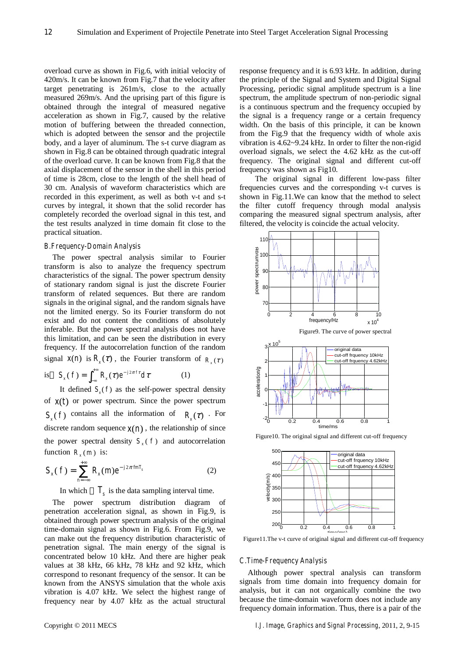overload curve as shown in Fig.6, with initial velocity of 420m/s. It can be known from Fig.7 that the velocity after target penetrating is 261m/s, close to the actually measured 269m/s. And the uprising part of this figure is obtained through the integral of measured negative acceleration as shown in Fig.7, caused by the relative motion of buffering between the threaded connection, which is adopted between the sensor and the projectile body, and a layer of aluminum. The s-t curve diagram as shown in Fig.8 can be obtained through quadratic integral of the overload curve. It can be known from Fig.8 that the axial displacement of the sensor in the shell in this period of time is 28cm, close to the length of the shell head of 30 cm. Analysis of waveform characteristics which are recorded in this experiment, as well as both v-t and s-t curves by integral, it shown that the solid recorder has completely recorded the overload signal in this test, and the test results analyzed in time domain fit close to the practical situation.

#### *B.Frequency-Domain Analysis*

The power spectral analysis similar to Fourier transform is also to analyze the frequency spectrum characteristics of the signal. The power spectrum density of stationary random signal is just the discrete Fourier transform of related sequences. But there are random signals in the original signal, and the random signals have not the limited energy. So its Fourier transform do not exist and do not content the conditions of absolutely inferable. But the power spectral analysis does not have this limitation, and can be seen the distribution in every frequency. If the autocorrelation function of the random signal  $x(n)$  is  $R_r(\tau)$ , the Fourier transform of  $R_r(\tau)$ 

is 
$$
S_x(f) = \int_{-\infty}^{+\infty} R_x(\tau) e^{-j2\pi f \tau} d\tau
$$
 (1)

It defined  $S<sub>x</sub>(f)$  as the self-power spectral density of  $x(t)$  or power spectrum. Since the power spectrum  $S(f)$  contains all the information of  $R(\tau)$ . For discrete random sequence  $x(n)$ , the relationship of since the power spectral density  $S_r(f)$  and autocorrelation function  $R_*(m)$  is:

$$
S_x(f) = \sum_{n=-\infty}^{+\infty} R_x(m) e^{-j2\pi j n T_s}
$$
 (2)

In which  $T<sub>s</sub>$  is the data sampling interval time.

The power spectrum distribution diagram of penetration acceleration signal, as shown in Fig.9, is obtained through power spectrum analysis of the original time-domain signal as shown in Fig.6. From Fig.9, we can make out the frequency distribution characteristic of penetration signal. The main energy of the signal is concentrated below 10 kHz. And there are higher peak values at 38 kHz, 66 kHz, 78 kHz and 92 kHz, which correspond to resonant frequency of the sensor. It can be known from the ANSYS simulation that the whole axis vibration is 4.07 kHz. We select the highest range of frequency near by 4.07 kHz as the actual structural response frequency and it is 6.93 kHz. In addition, during the principle of the Signal and System and Digital Signal Processing, periodic signal amplitude spectrum is a line spectrum, the amplitude spectrum of non-periodic signal is a continuous spectrum and the frequency occupied by the signal is a frequency range or a certain frequency width. On the basis of this principle, it can be known from the Fig.9 that the frequency width of whole axis vibration is 4.62~9.24 kHz. In order to filter the non-rigid overload signals, we select the 4.62 kHz as the cut-off frequency. The original signal and different cut-off frequency was shown as Fig10.

The original signal in different low-pass filter frequencies curves and the corresponding v-t curves is shown in Fig.11.We can know that the method to select the filter cutoff frequency through modal analysis comparing the measured signal spectrum analysis, after filtered, the velocity is coincide the actual velocity.



Figure10. The original signal and different cut-off frequency



Figure11.The v-t curve of original signal and different cut-off frequency

## *C.Time-Frequency Analysis*

Although power spectral analysis can transform signals from time domain into frequency domain for analysis, but it can not organically combine the two because the time-domain waveform does not include any frequency domain information. Thus, there is a pair of the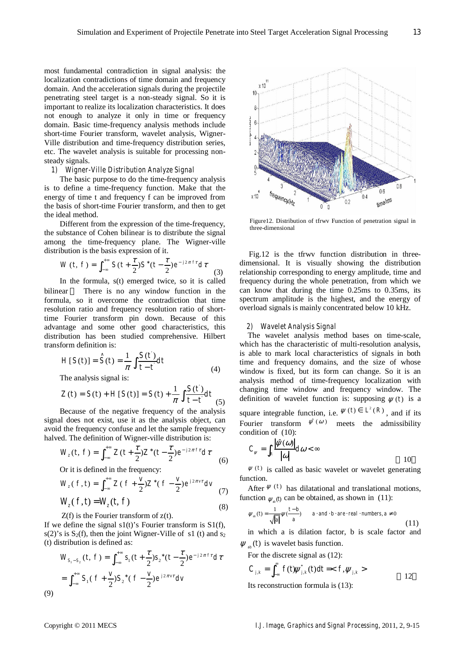most fundamental contradiction in signal analysis: the localization contradictions of time domain and frequency domain. And the acceleration signals during the projectile penetrating steel target is a non-steady signal. So it is important to realize its localization characteristics. It does not enough to analyze it only in time or frequency domain. Basic time-frequency analysis methods include short-time Fourier transform, wavelet analysis, Wigner-Ville distribution and time-frequency distribution series, etc. The wavelet analysis is suitable for processing nonsteady signals.

# *1) Wigner-Ville Distribution Analyze Signal*

The basic purpose to do the time-frequency analysis is to define a time-frequency function. Make that the energy of time t and frequency f can be improved from the basis of short-time Fourier transform, and then to get the ideal method.

Different from the expression of the time-frequency, the substance of Cohen bilinear is to distribute the signal among the time-frequency plane. The Wigner-ville distribution is the basis expression of it.

$$
W(t, f) = \int_{-\infty}^{+\infty} S(t + \frac{\tau}{2}) S^*(t - \frac{\tau}{2}) e^{-j2\pi f \tau} d\tau
$$
 (3)

In the formula, s(t) emerged twice, so it is called bilinear There is no any window function in the formula, so it overcome the contradiction that time resolution ratio and frequency resolution ratio of shorttime Fourier transform pin down. Because of this advantage and some other good characteristics, this distribution has been studied comprehensive. Hilbert transform definition is: '

$$
H[S(t)] = \hat{S}(t) = \frac{1}{\pi} \int \frac{S(t)}{t - t} dt
$$
\n(4)

The analysis signal is:

$$
Z(t) = S(t) + H[S(t)] = S(t) + \frac{1}{\pi} \int \frac{S(t)}{t - t} dt
$$
 (5)

Because of the negative frequency of the analysis signal does not exist, use it as the analysis object, can avoid the frequency confuse and let the sample frequency halved. The definition of Wigner-ville distribution is:

$$
W_z(t, f) = \int_{-\infty}^{+\infty} Z(t + \frac{\tau}{2}) Z^*(t - \frac{\tau}{2}) e^{-j2\pi ft} d\tau
$$
 (6)

Or it is defined in the frequency:

$$
W_z(f,t) = \int_{-\infty}^{+\infty} Z(f + \frac{v}{2}) Z^*(f - \frac{v}{2}) e^{j2\pi vt} dv
$$
 (7)

$$
W_z(f,t) = W_z(t,f)
$$
\n<sup>(8)</sup>

 $Z(f)$  is the Fourier transform of  $z(t)$ .

If we define the signal  $s1(t)$ 's Fourier transform is  $S1(f)$ , s(2)'s is  $S_2(f)$ , then the joint Wigner-Ville of s1 (t) and  $s_2$ (t) distribution is defined as:

$$
W_{S_1 - S_2}(t, f) = \int_{-\infty}^{+\infty} s_1(t + \frac{\tau}{2})s_2^*(t - \frac{\tau}{2})e^{-j2\pi ft}d\tau
$$
  
= 
$$
\int_{-\infty}^{+\infty} S_1(f + \frac{\nu}{2})S_2^*(f - \frac{\nu}{2})e^{j2\pi vt}d\nu
$$
  
(9)



Figure12. Distribution of tfrwv Function of penetration signal in three-dimensional

Fig.12 is the tfrwv function distribution in threedimensional. It is visually showing the distribution relationship corresponding to energy amplitude, time and frequency during the whole penetration, from which we can know that during the time 0.25ms to 0.35ms, its spectrum amplitude is the highest, and the energy of overload signals is mainly concentrated below 10 kHz.

## *2) Wavelet Analysis Signal*

The wavelet analysis method bases on time-scale, which has the characteristic of multi-resolution analysis, is able to mark local characteristics of signals in both time and frequency domains, and the size of whose window is fixed, but its form can change. So it is an analysis method of time-frequency localization with changing time window and frequency window. The definition of wavelet function is: supposing  $\psi(t)$  is a

square integrable function, i.e.  $\psi(t) \in L^2(R)$ , and if its Fourier transform  $\psi(\omega)$  meets the admissibility condition of (10):

$$
C_{\psi} = \int_{R} \frac{|\hat{\psi}(\omega)|}{|\omega|} d\omega < \infty
$$

 $\psi(t)$  is called as basic wavelet or wavelet generating function.

After  $\psi(t)$  has dilatational and translational motions, function  $\psi_*(t)$  can be obtained, as shown in (11):

$$
\psi_{ab}(t) = \frac{1}{\sqrt{|a|}} \psi(\frac{t-b}{a}) \qquad a \cdot and \cdot b \cdot are \cdot real \cdot numbers, a \neq 0
$$
\n(11)

in which a is dilation factor, b is scale factor and  $\psi_{ab}(t)$  is wavelet basis function.

For the discrete signal as (12):

$$
C_{j,k} = \int_{-\infty}^{\infty} f(t) \psi_{j,k}^*(t) dt =  12
$$

Its reconstruction formula is (13):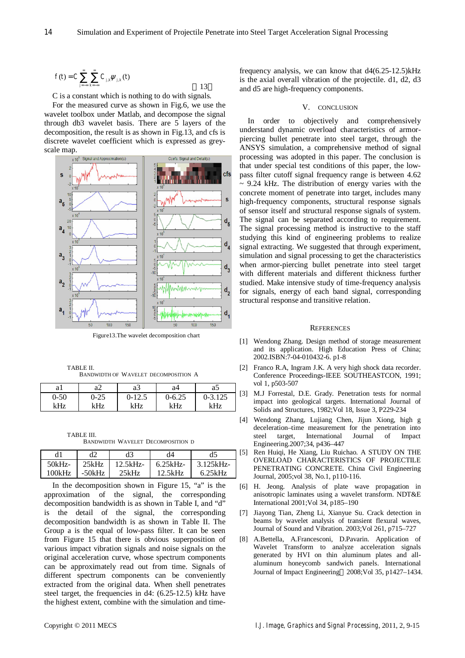$$
f(t) = C \sum_{j=-\infty}^{\infty} \sum_{k=-\infty}^{\infty} C_{j,k} \psi_{j,k}(t)
$$

C is a constant which is nothing to do with signals.

For the measured curve as shown in Fig.6, we use the wavelet toolbox under Matlab, and decompose the signal through db3 wavelet basis. There are 5 layers of the decomposition, the result is as shown in Fig.13, and cfs is discrete wavelet coefficient which is expressed as greyscale map.



Figure13.The wavelet decomposition chart

TABLE II. BANDWIDTH OF WAVELET DECOMPOSITION A

| aı       | a∠       | aЗ       | а4         | aɔ       |
|----------|----------|----------|------------|----------|
| $0 - 50$ | $0 - 25$ | $0-12.5$ | $0 - 6.25$ | 0-3.125  |
| kHz      | kHz      | kHz      | kHz        | $v_{Hz}$ |

TABLE III. BANDWIDTH WAVELET DECOMPOSITION D

|        | d2       | d3      | d4      | d5       |
|--------|----------|---------|---------|----------|
| 50kHz  | 25kHz    | 12.5kHz | 6.25kHz | 3.125kHz |
| 100kHz | $-50kHz$ | 25kHz   | 12.5kHz | 6.25kHz  |

In the decomposition shown in Figure 15, "a" is the approximation of the signal, the corresponding decomposition bandwidth is as shown in Table I, and "d" is the detail of the signal, the corresponding decomposition bandwidth is as shown in Table II. The Group a is the equal of low-pass filter. It can be seen from Figure 15 that there is obvious superposition of various impact vibration signals and noise signals on the original acceleration curve, whose spectrum components can be approximately read out from time. Signals of different spectrum components can be conveniently extracted from the original data. When shell penetrates steel target, the frequencies in d4: (6.25-12.5) kHz have the highest extent, combine with the simulation and timefrequency analysis, we can know that  $d4(6.25-12.5)$  kHz is the axial overall vibration of the projectile. d1, d2, d3 and d5 are high-frequency components.

## V. CONCLUSION

In order to objectively and comprehensively understand dynamic overload characteristics of armorpiercing bullet penetrate into steel target, through the ANSYS simulation, a comprehensive method of signal processing was adopted in this paper. The conclusion is that under special test conditions of this paper, the lowpass filter cutoff signal frequency range is between 4.62  $\sim$  9.24 kHz. The distribution of energy varies with the concrete moment of penetrate into target, includes many high-frequency components, structural response signals of sensor itself and structural response signals of system. The signal can be separated according to requirement. The signal processing method is instructive to the staff studying this kind of engineering problems to realize signal extracting. We suggested that through experiment, simulation and signal processing to get the characteristics when armor-piercing bullet penetrate into steel target with different materials and different thickness further studied. Make intensive study of time-frequency analysis for signals, energy of each band signal, corresponding structural response and transitive relation.

#### **REFERENCES**

- [1] Wendong Zhang. Design method of storage measurement and its application. High Education Press of China; 2002.ISBN:7-04-010432-6. p1-8
- [2] Franco R.A, Ingram J.K. A very high shock data recorder. Conference Proceedings-IEEE SOUTHEASTCON, 1991; vol 1, p503-507
- [3] M.J Forrestal, D.E. Grady. Penetration tests for normal impact into geological targets. International Journal of Solids and Structures, 1982;Vol 18, Issue 3, P229-234
- [4] Wendong Zhang, Lujiang Chen, Jijun Xiong, high g deceleration–time measurement for the penetration into steel target, International Journal of Impact Engineering.2007;34, p436–447
- [5] Ren Huiqi, He Xiang, Liu Ruichao. A STUDY ON THE OVERLOAD CHARACTERISTICS OF PROJECTILE PENETRATING CONCRETE. China Civil Engineering Journal, 2005;vol 38, No.1, p110-116.
- [6] H. Jeong. Analysis of plate wave propagation in anisotropic laminates using a wavelet transform. NDT&E International 2001;Vol 34, p185–190
- [7] Jiayong Tian, Zheng Li, Xianyue Su. Crack detection in beams by wavelet analysis of transient flexural waves, Journal of Sound and Vibration. 2003;Vol 261, p715–727
- [8] A.Bettella, A.Francesconi, D.Pavarin. Application of Wavelet Transform to analyze acceleration signals generated by HVI on thin aluminum plates and allaluminum honeycomb sandwich panels. International Journal of Impact Engineering 2008;Vol 35, p1427–1434.